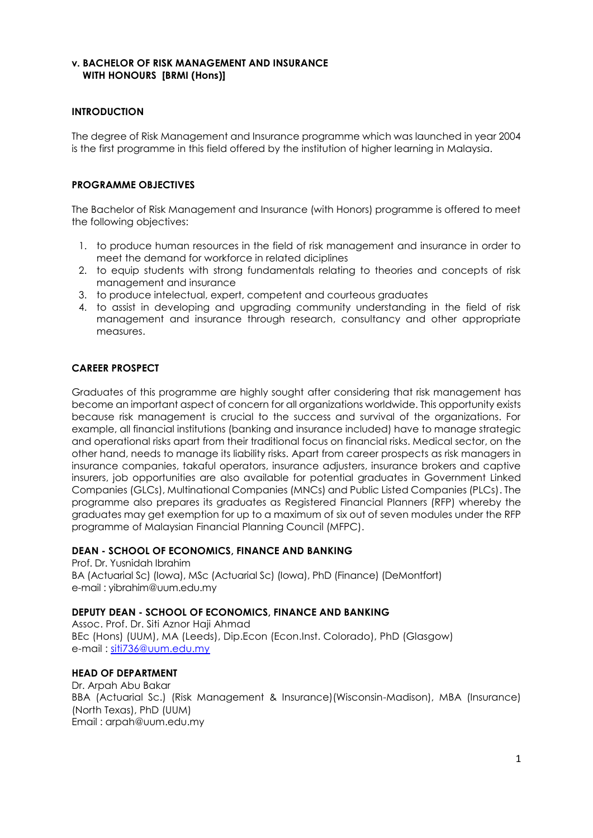## **v. BACHELOR OF RISK MANAGEMENT AND INSURANCE WITH HONOURS [BRMI (Hons)]**

## **INTRODUCTION**

The degree of Risk Management and Insurance programme which was launched in year 2004 is the first programme in this field offered by the institution of higher learning in Malaysia.

### **PROGRAMME OBJECTIVES**

The Bachelor of Risk Management and Insurance (with Honors) programme is offered to meet the following objectives:

- 1. to produce human resources in the field of risk management and insurance in order to meet the demand for workforce in related diciplines
- 2. to equip students with strong fundamentals relating to theories and concepts of risk management and insurance
- 3. to produce intelectual, expert, competent and courteous graduates
- 4. to assist in developing and upgrading community understanding in the field of risk management and insurance through research, consultancy and other appropriate measures.

## **CAREER PROSPECT**

Graduates of this programme are highly sought after considering that risk management has become an important aspect of concern for all organizations worldwide. This opportunity exists because risk management is crucial to the success and survival of the organizations. For example, all financial institutions (banking and insurance included) have to manage strategic and operational risks apart from their traditional focus on financial risks. Medical sector, on the other hand, needs to manage its liability risks. Apart from career prospects as risk managers in insurance companies, takaful operators, insurance adjusters, insurance brokers and captive insurers, job opportunities are also available for potential graduates in Government Linked Companies (GLCs), Multinational Companies (MNCs) and Public Listed Companies (PLCs). The programme also prepares its graduates as Registered Financial Planners (RFP) whereby the graduates may get exemption for up to a maximum of six out of seven modules under the RFP programme of Malaysian Financial Planning Council (MFPC).

#### **DEAN - SCHOOL OF ECONOMICS, FINANCE AND BANKING**

Prof. Dr. Yusnidah Ibrahim BA (Actuarial Sc) (Iowa), MSc (Actuarial Sc) (Iowa), PhD (Finance) (DeMontfort) e-mail : [yibrahim@uum.edu.my](mailto:aali@uum.edu.my)

#### **DEPUTY DEAN - SCHOOL OF ECONOMICS, FINANCE AND BANKING**

Assoc. Prof. Dr. Siti Aznor Haji Ahmad BEc (Hons) (UUM), MA (Leeds), Dip.Econ (Econ.Inst. Colorado), PhD (Glasgow) e-mail : [siti736@uum.edu.my](mailto:siti736@uum.edu.my)

#### **HEAD OF DEPARTMENT**

Dr. Arpah Abu Bakar BBA (Actuarial Sc.) (Risk Management & Insurance)(Wisconsin-Madison), MBA (Insurance) (North Texas), PhD (UUM) Email : arpah@uum.edu.my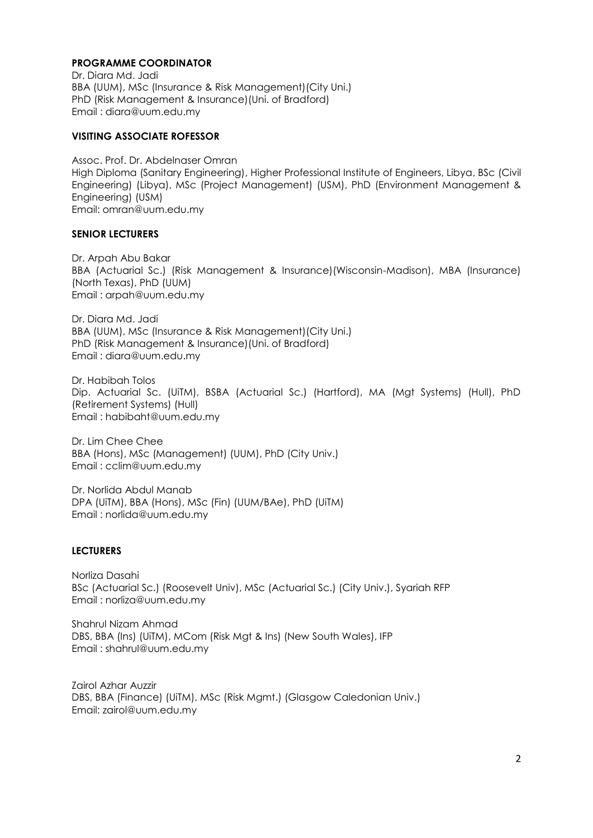### **PROGRAMME COORDINATOR**

Dr. Diara Md. Jadi BBA (UUM), MSc (Insurance & Risk Management)(City Uni.) PhD (Risk Management & Insurance)(Uni. of Bradford) Email : diara@uum.edu.my

#### **VISITING ASSOCIATE ROFESSOR**

Assoc. Prof. Dr. Abdelnaser Omran High Diploma (Sanitary Engineering), Higher Professional Institute of Engineers, Libya, BSc (Civil Engineering) (Libya), MSc (Project Management) (USM), PhD (Environment Management & Engineering) (USM) Email: omran@uum.edu.my

#### **SENIOR LECTURERS**

Dr. Arpah Abu Bakar BBA (Actuarial Sc.) (Risk Management & Insurance)(Wisconsin-Madison), MBA (Insurance) (North Texas), PhD (UUM) Email : arpah@uum.edu.my

Dr. Diara Md. Jadi BBA (UUM), MSc (Insurance & Risk Management)(City Uni.) PhD (Risk Management & Insurance)(Uni. of Bradford) Email : diara@uum.edu.my

Dr. Habibah Tolos Dip. Actuarial Sc. (UiTM), BSBA (Actuarial Sc.) (Hartford), MA (Mgt Systems) (Hull), PhD (Retirement Systems) (Hull) Email : habibaht@uum.edu.my

Dr. Lim Chee Chee BBA (Hons), MSc (Management) (UUM), PhD (City Univ.) Email : cclim@uum.edu.my

Dr. Norlida Abdul Manab DPA (UiTM), BBA (Hons), MSc (Fin) (UUM/BAe), PhD (UiTM) Email : [norlida@uum.edu.my](mailto:norlida@uum.edu.my)

#### **LECTURERS**

Norliza Dasahi BSc (Actuarial Sc.) (Roosevelt Univ), MSc (Actuarial Sc.) (City Univ.), Syariah RFP Email : norliza@uum.edu.my

Shahrul Nizam Ahmad DBS, BBA (Ins) (UiTM), MCom (Risk Mgt & Ins) (New South Wales), IFP Email : shahrul@uum.edu.my

Zairol Azhar Auzzir DBS, BBA (Finance) (UiTM), MSc (Risk Mgmt.) (Glasgow Caledonian Univ.) Email: zairol@uum.edu.my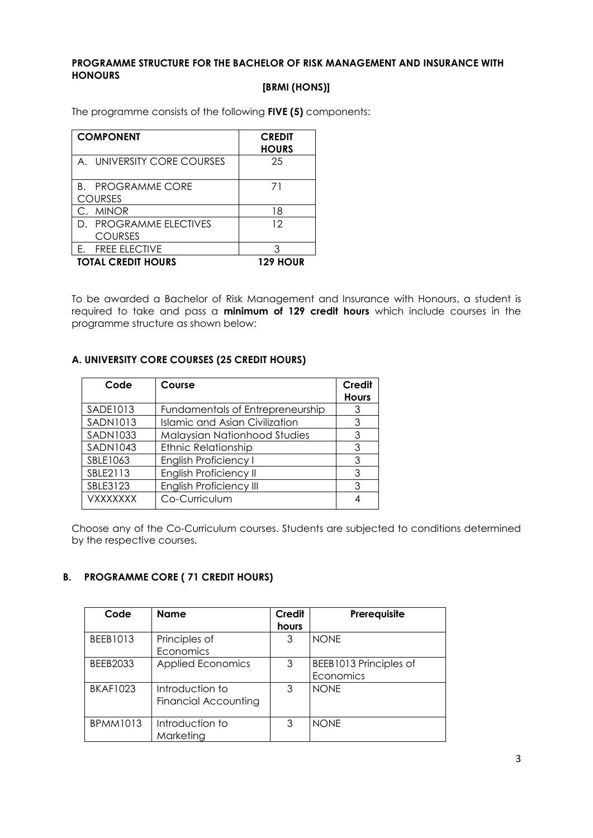## **PROGRAMME STRUCTURE FOR THE BACHELOR OF RISK MANAGEMENT AND INSURANCE WITH HONOURS**

## **[BRMI (HONS)]**

The programme consists of the following **FIVE (5)** components:

| <b>COMPONENT</b>            | <b>CREDIT</b><br><b>HOURS</b> |
|-----------------------------|-------------------------------|
| A. UNIVERSITY CORE COURSES  | 25                            |
| <b>PROGRAMME CORE</b><br>B. | 71                            |
| <b>COURSES</b>              |                               |
| <b>MINOR</b>                | 18                            |
| D. PROGRAMME FLECTIVES      | 12                            |
| <b>COURSES</b>              |                               |
| <b>FREE ELECTIVE</b>        | 3                             |
| <b>TOTAL CREDIT HOURS</b>   | <b>129 HOUR</b>               |

To be awarded a Bachelor of Risk Management and Insurance with Honours, a student is required to take and pass a **minimum of 129 credit hours** which include courses in the programme structure as shown below:

## **A. UNIVERSITY CORE COURSES (25 CREDIT HOURS)**

| Code            | Course                                | Credit<br><b>Hours</b> |
|-----------------|---------------------------------------|------------------------|
| SADE1013        | Fundamentals of Entrepreneurship      | 3                      |
| <b>SADN1013</b> | <b>Islamic and Asian Civilization</b> | 3                      |
| SADN1033        | <b>Malaysian Nationhood Studies</b>   | 3                      |
| <b>SADN1043</b> | <b>Ethnic Relationship</b>            | 3                      |
| SBLE1063        | <b>English Proficiency I</b>          | 3                      |
| SBLE2113        | <b>English Proficiency II</b>         | 3                      |
| SBLE3123        | <b>English Proficiency III</b>        | 3                      |
| VXXXXXXX        | Co-Curriculum                         |                        |

Choose any of the Co-Curriculum courses. Students are subjected to conditions determined by the respective courses.

## **B. PROGRAMME CORE ( 71 CREDIT HOURS)**

| Code            | <b>Name</b>                                    | Credit<br>hours | Prerequisite                        |
|-----------------|------------------------------------------------|-----------------|-------------------------------------|
| BEEB1013        | Principles of<br>Economics                     | 3               | <b>NONE</b>                         |
| BEEB2033        | <b>Applied Economics</b>                       | 3               | BEEB1013 Principles of<br>Economics |
| <b>BKAF1023</b> | Introduction to<br><b>Financial Accounting</b> | 3               | <b>NONE</b>                         |
| <b>BPMM1013</b> | Introduction to<br>Marketing                   | 3               | <b>NONE</b>                         |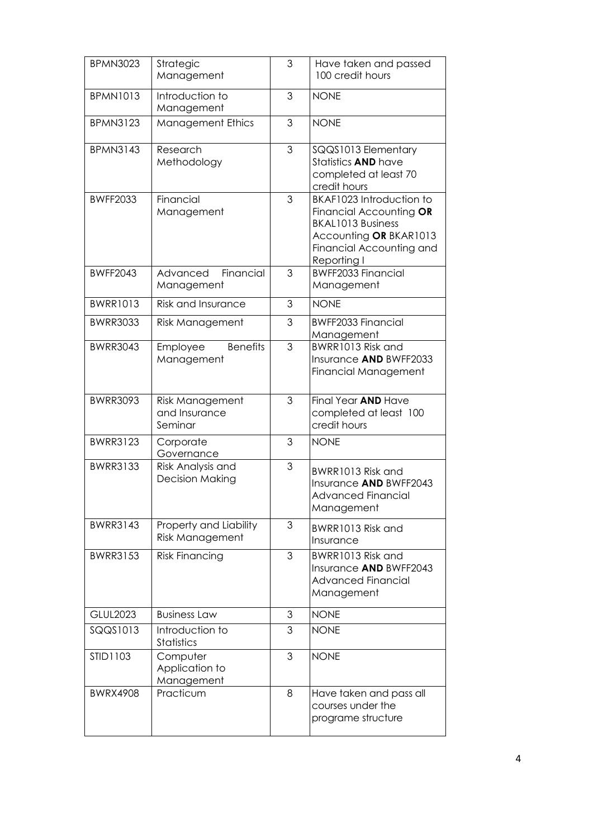| <b>BPMN3023</b> | Strategic<br>Management                          | 3 | Have taken and passed<br>100 credit hours                                                                                                            |
|-----------------|--------------------------------------------------|---|------------------------------------------------------------------------------------------------------------------------------------------------------|
| <b>BPMN1013</b> | Introduction to<br>Management                    | 3 | <b>NONE</b>                                                                                                                                          |
| <b>BPMN3123</b> | <b>Management Ethics</b>                         | 3 | <b>NONE</b>                                                                                                                                          |
| <b>BPMN3143</b> | Research<br>Methodology                          | 3 | SQQS1013 Elementary<br>Statistics <b>AND</b> have<br>completed at least 70<br>credit hours                                                           |
| <b>BWFF2033</b> | Financial<br>Management                          | 3 | BKAF1023 Introduction to<br>Financial Accounting OR<br><b>BKAL1013 Business</b><br>Accounting OR BKAR1013<br>Financial Accounting and<br>Reporting I |
| <b>BWFF2043</b> | Financial<br>Advanced<br>Management              | 3 | <b>BWFF2033 Financial</b><br>Management                                                                                                              |
| <b>BWRR1013</b> | <b>Risk and Insurance</b>                        | 3 | <b>NONE</b>                                                                                                                                          |
| <b>BWRR3033</b> | <b>Risk Management</b>                           | 3 | <b>BWFF2033 Financial</b><br>Management                                                                                                              |
| <b>BWRR3043</b> | <b>Benefits</b><br>Employee<br>Management        | 3 | BWRR1013 Risk and<br>Insurance AND BWFF2033<br><b>Financial Management</b>                                                                           |
| <b>BWRR3093</b> | Risk Management<br>and Insurance<br>Seminar      | 3 | Final Year AND Have<br>completed at least 100<br>credit hours                                                                                        |
| <b>BWRR3123</b> | Corporate<br>Governance                          | 3 | <b>NONE</b>                                                                                                                                          |
| <b>BWRR3133</b> | Risk Analysis and<br><b>Decision Making</b>      | 3 | BWRR1013 Risk and<br>Insurance AND BWFF2043<br><b>Advanced Financial</b><br>Management                                                               |
| <b>BWRR3143</b> | Property and Liability<br><b>Risk Management</b> | 3 | BWRR1013 Risk and<br>Insurance                                                                                                                       |
| <b>BWRR3153</b> | <b>Risk Financing</b>                            | 3 | BWRR1013 Risk and<br>Insurance AND BWFF2043<br><b>Advanced Financial</b><br>Management                                                               |
| <b>GLUL2023</b> | <b>Business Law</b>                              | 3 | <b>NONE</b>                                                                                                                                          |
| SQQS1013        | Introduction to<br><b>Statistics</b>             | 3 | <b>NONE</b>                                                                                                                                          |
| STID1103        | Computer<br>Application to<br>Management         | 3 | <b>NONE</b>                                                                                                                                          |
| <b>BWRX4908</b> | Practicum                                        | 8 | Have taken and pass all<br>courses under the<br>programe structure                                                                                   |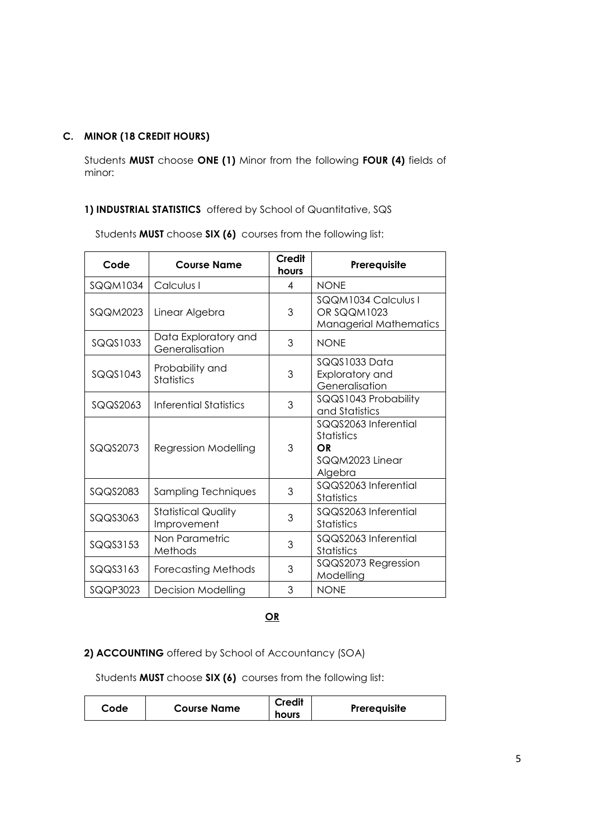# **C. MINOR (18 CREDIT HOURS)**

Students **MUST** choose **ONE (1)** Minor from the following **FOUR (4)** fields of minor:

# **1) INDUSTRIAL STATISTICS** offered by School of Quantitative, SQS

Students **MUST** choose **SIX (6)** courses from the following list:

| Code            | <b>Course Name</b>                        | <b>Credit</b><br>hours | Prerequisite                                                           |
|-----------------|-------------------------------------------|------------------------|------------------------------------------------------------------------|
| <b>SQQM1034</b> | Calculus I                                | 4                      | <b>NONE</b>                                                            |
| SQQM2023        | Linear Algebra                            | 3                      | SQQM1034 Calculus I<br>OR SQQM1023<br><b>Managerial Mathematics</b>    |
| SQQS1033        | Data Exploratory and<br>Generalisation    | 3                      | <b>NONE</b>                                                            |
| SQQS1043        | Probability and<br><b>Statistics</b>      | 3                      | SQQS1033 Data<br>Exploratory and<br>Generalisation                     |
| SQQS2063        | <b>Inferential Statistics</b>             | 3                      | SQQS1043 Probability<br>and Statistics                                 |
| SQQS2073        | <b>Regression Modelling</b>               | 3                      | SQQS2063 Inferential<br>Statistics<br>OR<br>SQQM2023 Linear<br>Algebra |
| SQQS2083        | Sampling Techniques                       | 3                      | SQQS2063 Inferential<br>Statistics                                     |
| SQQS3063        | <b>Statistical Quality</b><br>Improvement | 3                      | SQQS2063 Inferential<br><b>Statistics</b>                              |
| SQQS3153        | Non Parametric<br>Methods                 | 3                      | SQQS2063 Inferential<br>Statistics                                     |
| SQQS3163        | <b>Forecasting Methods</b>                | 3                      | SQQS2073 Regression<br>Modelling                                       |
| SQQP3023        | <b>Decision Modelling</b>                 | 3                      | <b>NONE</b>                                                            |

**OR**

# **2) ACCOUNTING** offered by School of Accountancy (SOA)

Students **MUST** choose **SIX (6)** courses from the following list:

| Code | <b>Course Name</b> | <b>Credit</b> | Prerequisite |
|------|--------------------|---------------|--------------|
|      |                    | hours         |              |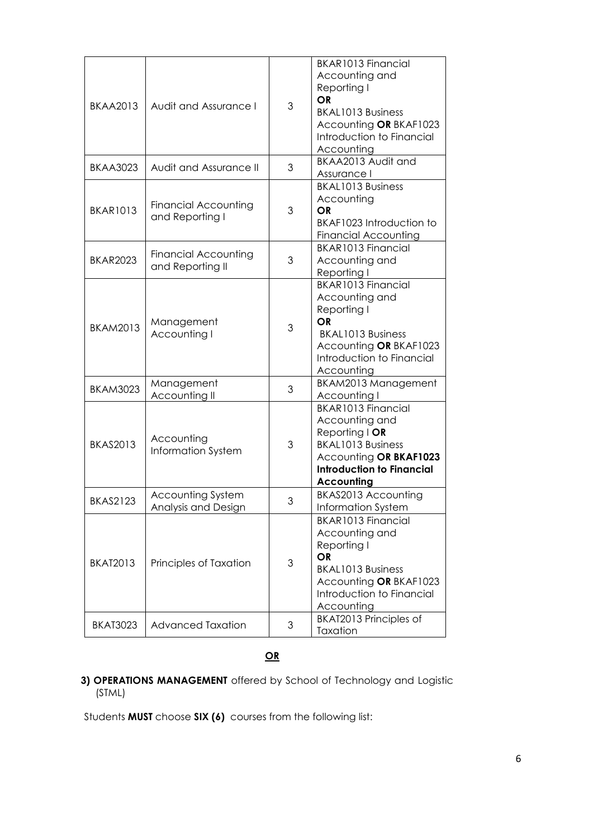| <b>BKAA2013</b> | Audit and Assurance I                           | 3 | BKAR1013 Financial<br>Accounting and<br>Reporting I<br><b>OR</b><br><b>BKAL1013 Business</b><br>Accounting OR BKAF1023<br>Introduction to Financial<br>Accounting<br>BKAA2013 Audit and            |
|-----------------|-------------------------------------------------|---|----------------------------------------------------------------------------------------------------------------------------------------------------------------------------------------------------|
| <b>BKAA3023</b> | Audit and Assurance II                          | 3 | Assurance I                                                                                                                                                                                        |
| <b>BKAR1013</b> | <b>Financial Accounting</b><br>and Reporting I  | 3 | <b>BKAL1013 Business</b><br>Accounting<br>OR<br>BKAF1023 Introduction to<br><b>Financial Accounting</b>                                                                                            |
| <b>BKAR2023</b> | <b>Financial Accounting</b><br>and Reporting II | 3 | <b>BKAR1013 Financial</b><br>Accounting and<br>Reporting I                                                                                                                                         |
| <b>BKAM2013</b> | Management<br>Accounting I                      | 3 | BKAR1013 Financial<br>Accounting and<br>Reporting I<br><b>OR</b><br><b>BKAL1013 Business</b><br>Accounting OR BKAF1023<br>Introduction to Financial<br>Accounting                                  |
| <b>BKAM3023</b> | Management<br>Accounting II                     | 3 | BKAM2013 Management<br>Accounting I                                                                                                                                                                |
| <b>BKAS2013</b> | Accounting<br>Information System                | 3 | <b>BKAR1013 Financial</b><br>Accounting and<br>Reporting $\overline{\mathsf{I}}$ OR<br><b>BKAL1013 Business</b><br>Accounting OR BKAF1023<br><b>Introduction to Financial</b><br><b>Accounting</b> |
| <b>BKAS2123</b> | Accounting System<br>Analysis and Design        | 3 | BKAS2013 Accounting<br>Information System                                                                                                                                                          |
| <b>BKAT2013</b> | Principles of Taxation                          | 3 | <b>BKAR1013 Financial</b><br>Accounting and<br>Reporting I<br><b>OR</b><br><b>BKAL1013 Business</b><br>Accounting OR BKAF1023<br>Introduction to Financial<br>Accounting                           |
| <b>BKAT3023</b> | <b>Advanced Taxation</b>                        | 3 | BKAT2013 Principles of<br>Taxation                                                                                                                                                                 |

# **OR**

## **3) OPERATIONS MANAGEMENT** offered by School of Technology and Logistic (STML)

Students **MUST** choose **SIX (6)** courses from the following list: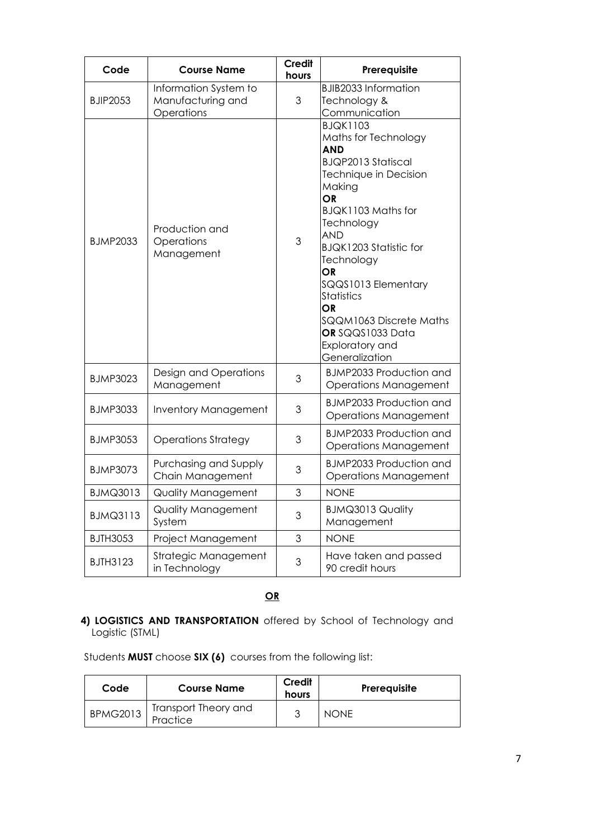| Code            | <b>Course Name</b>                                       | <b>Credit</b><br>hours | Prerequisite                                                                                                                                                                                                                                                                                                                                                                    |
|-----------------|----------------------------------------------------------|------------------------|---------------------------------------------------------------------------------------------------------------------------------------------------------------------------------------------------------------------------------------------------------------------------------------------------------------------------------------------------------------------------------|
| <b>BJIP2053</b> | Information System to<br>Manufacturing and<br>Operations | 3                      | <b>BJIB2033 Information</b><br>Technology &<br>Communication                                                                                                                                                                                                                                                                                                                    |
| <b>BJMP2033</b> | Production and<br>Operations<br>Management               | 3                      | <b>BJQK1103</b><br>Maths for Technology<br><b>AND</b><br><b>BJQP2013 Statiscal</b><br>Technique in Decision<br>Making<br><b>OR</b><br>BJQK1103 Maths for<br>Technology<br><b>AND</b><br>BJQK1203 Statistic for<br>Technology<br><b>OR</b><br>SQQS1013 Elementary<br>Statistics<br>OR<br>SQQM1063 Discrete Maths<br>OR SQQS1033 Data<br><b>Exploratory and</b><br>Generalization |
| <b>BJMP3023</b> | Design and Operations<br>Management                      | 3                      | <b>BJMP2033 Production and</b><br><b>Operations Management</b>                                                                                                                                                                                                                                                                                                                  |
| <b>BJMP3033</b> | <b>Inventory Management</b>                              | 3                      | <b>BJMP2033 Production and</b><br><b>Operations Management</b>                                                                                                                                                                                                                                                                                                                  |
| <b>BJMP3053</b> | <b>Operations Strategy</b>                               | 3                      | <b>BJMP2033 Production and</b><br><b>Operations Management</b>                                                                                                                                                                                                                                                                                                                  |
| <b>BJMP3073</b> | Purchasing and Supply<br>Chain Management                | 3                      | <b>BJMP2033 Production and</b><br><b>Operations Management</b>                                                                                                                                                                                                                                                                                                                  |
| <b>BJMQ3013</b> | Quality Management                                       | 3                      | <b>NONE</b>                                                                                                                                                                                                                                                                                                                                                                     |
| <b>BJMQ3113</b> | Quality Management<br>System                             | 3                      | <b>BJMQ3013 Quality</b><br>Management                                                                                                                                                                                                                                                                                                                                           |
| <b>BJTH3053</b> | Project Management                                       | 3                      | <b>NONE</b>                                                                                                                                                                                                                                                                                                                                                                     |
| BJTH3123        | Strategic Management<br>in Technology                    | 3                      | Have taken and passed<br>90 credit hours                                                                                                                                                                                                                                                                                                                                        |

# **OR**

# **4) LOGISTICS AND TRANSPORTATION** offered by School of Technology and Logistic (STML)

Students **MUST** choose **SIX (6)** courses from the following list:

| Code            | <b>Course Name</b>               | Credit<br>hours | Prerequisite |
|-----------------|----------------------------------|-----------------|--------------|
| <b>BPMG2013</b> | Transport Theory and<br>Practice | っ               | <b>NONE</b>  |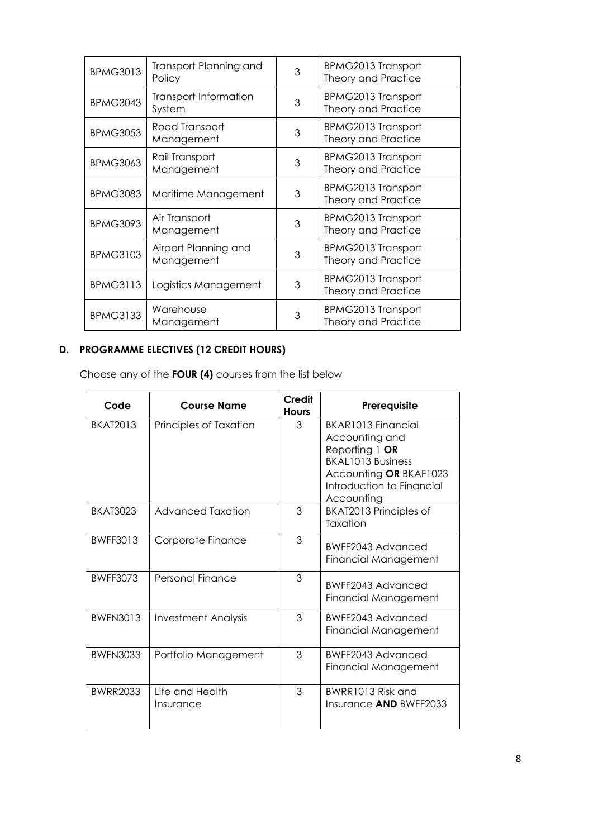| <b>BPMG3013</b> | Transport Planning and<br>Policy   | 3 | <b>BPMG2013 Transport</b><br><b>Theory and Practice</b> |
|-----------------|------------------------------------|---|---------------------------------------------------------|
| <b>BPMG3043</b> | Transport Information<br>System    | 3 | <b>BPMG2013 Transport</b><br><b>Theory and Practice</b> |
| <b>BPMG3053</b> | Road Transport<br>Management       | 3 | <b>BPMG2013 Transport</b><br><b>Theory and Practice</b> |
| <b>BPMG3063</b> | Rail Transport<br>Management       | 3 | <b>BPMG2013 Transport</b><br><b>Theory and Practice</b> |
| <b>BPMG3083</b> | Maritime Management                | 3 | <b>BPMG2013 Transport</b><br><b>Theory and Practice</b> |
| <b>BPMG3093</b> | Air Transport<br>Management        | 3 | <b>BPMG2013 Transport</b><br><b>Theory and Practice</b> |
| <b>BPMG3103</b> | Airport Planning and<br>Management | 3 | <b>BPMG2013 Transport</b><br><b>Theory and Practice</b> |
| <b>BPMG3113</b> | Logistics Management               | 3 | <b>BPMG2013 Transport</b><br><b>Theory and Practice</b> |
| <b>BPMG3133</b> | Warehouse<br>Management            | 3 | <b>BPMG2013 Transport</b><br><b>Theory and Practice</b> |

# **D. PROGRAMME ELECTIVES (12 CREDIT HOURS)**

Choose any of the **FOUR (4)** courses from the list below

| Code            | <b>Course Name</b>                  | <b>Credit</b><br><b>Hours</b> | Prerequisite                                                                                                                                              |
|-----------------|-------------------------------------|-------------------------------|-----------------------------------------------------------------------------------------------------------------------------------------------------------|
| <b>BKAT2013</b> | Principles of Taxation              | 3                             | BKAR1013 Financial<br>Accounting and<br>Reporting 1 $OR$<br><b>BKAL1013 Business</b><br>Accounting OR BKAF1023<br>Introduction to Financial<br>Accounting |
| BKAT3023        | <b>Advanced Taxation</b>            | 3                             | BKAT2013 Principles of<br>Taxation                                                                                                                        |
| <b>BWFF3013</b> | Corporate Finance                   | 3                             | BWFF2043 Advanced<br>Financial Management                                                                                                                 |
| BWFF3073        | Personal Finance                    | 3                             | BWFF2043 Advanced<br><b>Financial Management</b>                                                                                                          |
| <b>BWFN3013</b> | <b>Investment Analysis</b>          | 3                             | BWFF2043 Advanced<br>Financial Management                                                                                                                 |
| <b>BWFN3033</b> | Portfolio Management                | 3                             | BWFF2043 Advanced<br>Financial Management                                                                                                                 |
| <b>BWRR2033</b> | <b>Life and Health</b><br>Insurance | 3                             | BWRR1013 Risk and<br>Insurance AND BWFF2033                                                                                                               |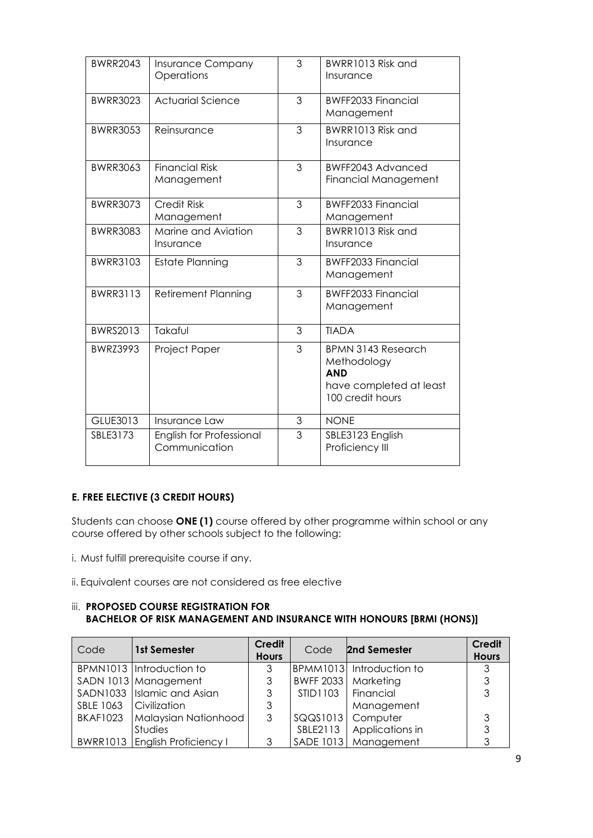| <b>BWRR2043</b> | <b>Insurance Company</b><br>Operations    | 3 | BWRR1013 Risk and<br>Insurance                                                                        |
|-----------------|-------------------------------------------|---|-------------------------------------------------------------------------------------------------------|
| <b>BWRR3023</b> | <b>Actuarial Science</b>                  | 3 | <b>BWFF2033 Financial</b><br>Management                                                               |
| <b>BWRR3053</b> | Reinsurance                               | 3 | BWRR1013 Risk and<br>Insurance                                                                        |
| <b>BWRR3063</b> | <b>Financial Risk</b><br>Management       | 3 | BWFF2043 Advanced<br><b>Financial Management</b>                                                      |
| <b>BWRR3073</b> | <b>Credit Risk</b><br>Management          | 3 | <b>BWFF2033 Financial</b><br>Management                                                               |
| <b>BWRR3083</b> | Marine and Aviation<br>Insurance          | 3 | BWRR1013 Risk and<br>Insurance                                                                        |
| <b>BWRR3103</b> | <b>Estate Planning</b>                    | 3 | <b>BWFF2033 Financial</b><br>Management                                                               |
| <b>BWRR3113</b> | <b>Retirement Planning</b>                | 3 | <b>BWFF2033 Financial</b><br>Management                                                               |
| BWRS2013        | Takaful                                   | 3 | <b>TIADA</b>                                                                                          |
| <b>BWRZ3993</b> | Project Paper                             | 3 | <b>BPMN 3143 Research</b><br>Methodology<br><b>AND</b><br>have completed at least<br>100 credit hours |
| <b>GLUE3013</b> | Insurance Law                             | 3 | <b>NONE</b>                                                                                           |
| SBLE3173        | English for Professional<br>Communication | 3 | SBLE3123 English<br>Proficiency III                                                                   |

## **E. FREE ELECTIVE (3 CREDIT HOURS)**

Students can choose **ONE (1)** course offered by other programme within school or any course offered by other schools subject to the following:

- i. Must fulfill prerequisite course if any.
- ii. Equivalent courses are not considered as free elective

### iii. **PROPOSED COURSE REGISTRATION FOR BACHELOR OF RISK MANAGEMENT AND INSURANCE WITH HONOURS [BRMI (HONS)]**

| Code                   | 1st Semester                   | <b>Credit</b><br><b>Hours</b> | Code                 | 2nd Semester             | <b>Credit</b><br><b>Hours</b> |
|------------------------|--------------------------------|-------------------------------|----------------------|--------------------------|-------------------------------|
|                        | BPMN1013 Introduction to       | 3                             |                      | BPMM1013 Introduction to | 3                             |
|                        | SADN 1013 Management           | 3                             |                      | BWFF 2033   Marketing    | 3                             |
|                        | SADN1033 Islamic and Asian     | 3                             | STID1103   Financial |                          | 3                             |
| SBLE 1063 Civilization |                                | 3                             |                      | Management               |                               |
| <b>BKAF1023</b>        | Malaysian Nationhood           | 3                             |                      | SQQS1013   Computer      | 3                             |
|                        | Studies                        |                               | SBLE2113             | Applications in          | 3                             |
|                        | BWRR1013 English Proficiency I | 3                             |                      | SADE 1013   Management   |                               |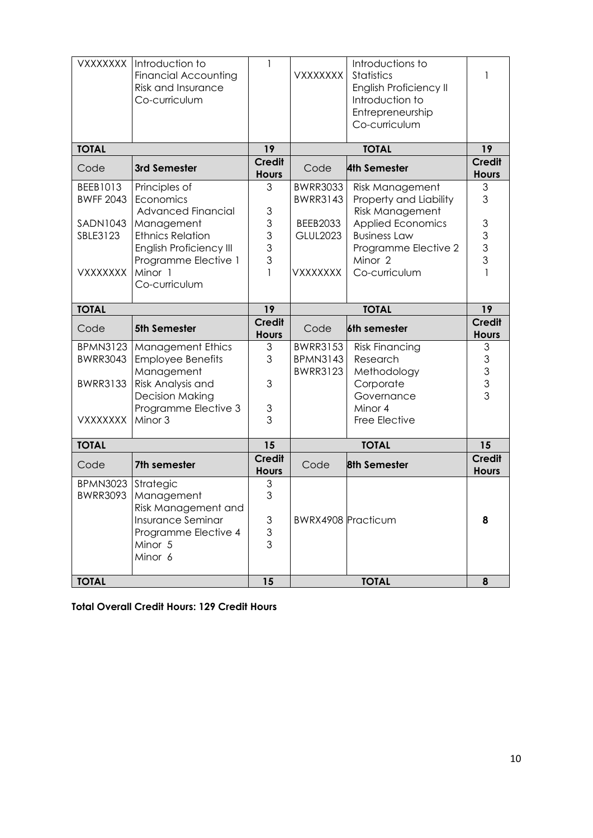| <b>TOTAL</b>            |                                                      | 15                 |                                    | <b>TOTAL</b>                                     |                                       |
|-------------------------|------------------------------------------------------|--------------------|------------------------------------|--------------------------------------------------|---------------------------------------|
|                         | Minor 6                                              |                    |                                    |                                                  |                                       |
|                         | Insurance Seminar<br>Programme Elective 4<br>Minor 5 | 3<br>$\frac{3}{3}$ | <b>BWRX4908 Practicum</b>          |                                                  | 8                                     |
|                         | Risk Management and                                  |                    |                                    |                                                  |                                       |
| <b>BWRR3093</b>         | Strategic<br>Management                              | 3<br>3             |                                    |                                                  |                                       |
| Code<br><b>BPMN3023</b> | 7th semester                                         | <b>Hours</b>       | Code                               | <b>8th Semester</b>                              | <b>Hours</b>                          |
|                         |                                                      | <b>Credit</b>      |                                    |                                                  | <b>Credit</b>                         |
| <b>TOTAL</b>            |                                                      | 15                 | <b>TOTAL</b>                       |                                                  | 15                                    |
| <b>VXXXXXXX</b>         | Minor 3                                              | 3                  |                                    | Free Elective                                    |                                       |
|                         | Programme Elective 3                                 | 3                  |                                    | Minor 4                                          |                                       |
|                         | <b>Decision Making</b>                               |                    |                                    | Governance                                       |                                       |
| <b>BWRR3133</b>         | Risk Analysis and                                    | 3                  |                                    | Corporate                                        | $\begin{array}{c} 3 \\ 3 \end{array}$ |
| <b>BWRR3043</b>         | <b>Employee Benefits</b><br>Management               | 3                  | <b>BPMN3143</b><br><b>BWRR3123</b> | Research<br>Methodology                          | 3                                     |
| <b>BPMN3123</b>         | <b>Management Ethics</b>                             | 3                  | <b>BWRR3153</b>                    | <b>Risk Financing</b>                            | 3                                     |
| Code                    | <b>5th Semester</b>                                  | <b>Hours</b>       | Code                               | 6th semester                                     | <b>Hours</b>                          |
|                         |                                                      | Credit             |                                    |                                                  | <b>Credit</b>                         |
| <b>TOTAL</b>            |                                                      | 19                 | <b>TOTAL</b>                       |                                                  | 19                                    |
|                         | Co-curriculum                                        |                    |                                    |                                                  |                                       |
| <b>VXXXXXXX</b>         | Minor 1                                              |                    | <b>VXXXXXXX</b>                    | Co-curriculum                                    |                                       |
|                         | Programme Elective 1                                 | 3                  |                                    | Minor <sub>2</sub>                               | 3                                     |
|                         | <b>English Proficiency III</b>                       | 3                  |                                    | Programme Elective 2                             | $\frac{3}{3}$                         |
| SBLE3123                | <b>Ethnics Relation</b>                              | 3                  | <b>GLUL2023</b>                    | <b>Business Law</b>                              |                                       |
| <b>SADN1043</b>         | Management                                           | 3                  | <b>BEEB2033</b>                    | <b>Applied Economics</b>                         | $\mathfrak{S}$                        |
| <b>BWFF 2043</b>        | Economics<br><b>Advanced Financial</b>               | 3                  | <b>BWRR3143</b>                    | Property and Liability<br><b>Risk Management</b> | 3                                     |
| BEEB1013                | Principles of                                        | 3                  | <b>BWRR3033</b>                    | <b>Risk Management</b>                           | 3                                     |
| Code                    | 3rd Semester                                         | <b>Hours</b>       | Code                               | <b>4th Semester</b>                              | <b>Hours</b>                          |
|                         |                                                      | <b>Credit</b>      |                                    |                                                  | <b>Credit</b>                         |
| <b>TOTAL</b>            |                                                      | 19                 | <b>TOTAL</b>                       |                                                  | 19                                    |
|                         |                                                      |                    |                                    | Co-curriculum                                    |                                       |
|                         |                                                      |                    |                                    | Entrepreneurship                                 |                                       |
|                         | Risk and Insurance<br>Co-curriculum                  |                    |                                    | English Proficiency II<br>Introduction to        |                                       |
|                         | <b>Financial Accounting</b>                          |                    | <b>VXXXXXXX</b>                    | Statistics                                       | 1                                     |
| <b>VXXXXXXX</b>         | Introduction to                                      | 1                  |                                    | Introductions to                                 |                                       |

**Total Overall Credit Hours: 129 Credit Hours**